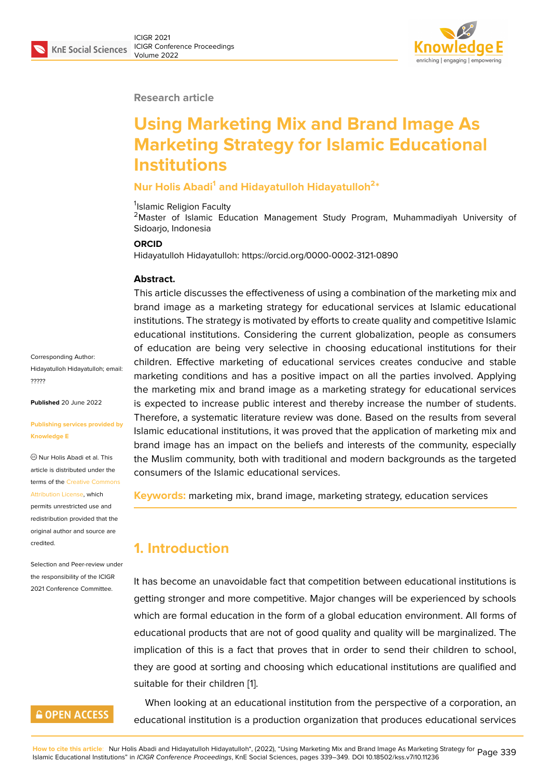#### **Research article**

# **Using Marketing Mix and Brand Image As Marketing Strategy for Islamic Educational Institutions**

## **Nur Holis Abadi<sup>1</sup> and Hidayatulloh Hidayatulloh<sup>2</sup> \***

<sup>1</sup>Islamic Religion Faculty

<sup>2</sup>Master of Islamic Education Management Study Program, Muhammadiyah University of Sidoarjo, Indonesia

#### **ORCID**

Hidayatulloh Hidayatulloh: https://orcid.org/0000-0002-3121-0890

#### **Abstract.**

This article discusses the effectiveness of using a combination of the marketing mix and brand image as a marketing strategy for educational services at Islamic educational institutions. The strategy is motivated by efforts to create quality and competitive Islamic educational institutions. Considering the current globalization, people as consumers of education are being very selective in choosing educational institutions for their children. Effective marketing of educational services creates conducive and stable marketing conditions and has a positive impact on all the parties involved. Applying the marketing mix and brand image as a marketing strategy for educational services is expected to increase public interest and thereby increase the number of students. Therefore, a systematic literature review was done. Based on the results from several Islamic educational institutions, it was proved that the application of marketing mix and brand image has an impact on the beliefs and interests of the community, especially the Muslim community, both with traditional and modern backgrounds as the targeted consumers of the Islamic educational services.

**Keywords:** marketing mix, brand image, marketing strategy, education services

# **1. Introduction**

It has become an unavoidable fact that competition between educational institutions is getting stronger and more competitive. Major changes will be experienced by schools which are formal education in the form of a global education environment. All forms of educational products that are not of good quality and quality will be marginalized. The implication of this is a fact that proves that in order to send their children to school, they are good at sorting and choosing which educational institutions are qualified and suitable for their children [1].

When looking at an educational institution from the perspective of a corporation, an educational institution is [a p](#page-8-0)roduction organization that produces educational services

Corresponding Author: Hidayatulloh Hidayatulloh; email: ?????

**Published** 20 June 2022

#### **[Publi](mailto:?????)shing services provided by Knowledge E**

Nur Holis Abadi et al. This article is distributed under the terms of the Creative Commons Attribution License, which

permits unrestricted use and redistribution provided that the original auth[or and source are](https://creativecommons.org/licenses/by/4.0/) [credited.](https://creativecommons.org/licenses/by/4.0/)

Selection and Peer-review under the responsibility of the ICIGR 2021 Conference Committee.

## **GOPEN ACCESS**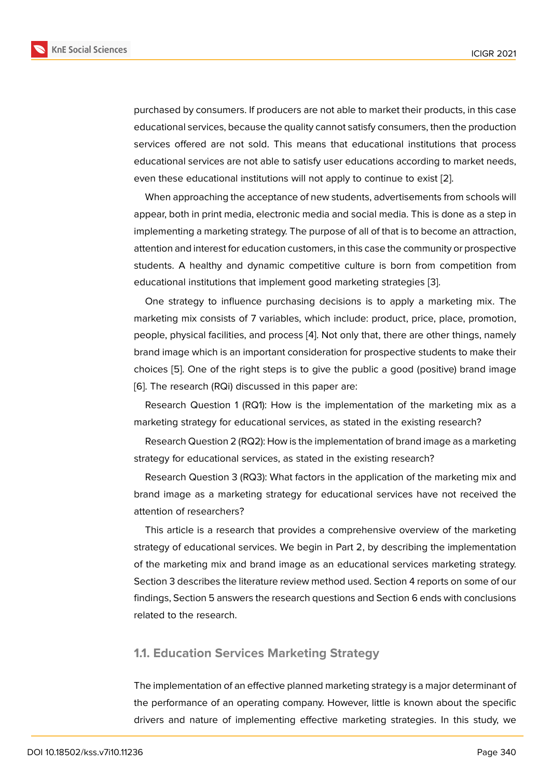purchased by consumers. If producers are not able to market their products, in this case educational services, because the quality cannot satisfy consumers, then the production services offered are not sold. This means that educational institutions that process educational services are not able to satisfy user educations according to market needs, even these educational institutions will not apply to continue to exist [2].

When approaching the acceptance of new students, advertisements from schools will appear, both in print media, electronic media and social media. This is done as a step in implementing a marketing strategy. The purpose of all of that is to bec[om](#page-9-0)e an attraction, attention and interest for education customers, in this case the community or prospective students. A healthy and dynamic competitive culture is born from competition from educational institutions that implement good marketing strategies [3].

One strategy to influence purchasing decisions is to apply a marketing mix. The marketing mix consists of 7 variables, which include: product, price, place, promotion, people, physical facilities, and process [4]. Not only that, there are [oth](#page-9-1)er things, namely brand image which is an important consideration for prospective students to make their choices [5]. One of the right steps is to give the public a good (positive) brand image [6]. The research (RQi) discussed in thi[s p](#page-9-2)aper are:

Research Question 1 (RQ1): How is the implementation of the marketing mix as a marketin[g](#page-9-3) strategy for educational services, as stated in the existing research?

Research Question 2 (RQ2): How is the implementation of brand image as a marketing strategy for educational services, as stated in the existing research?

Research Question 3 (RQ3): What factors in the application of the marketing mix and brand image as a marketing strategy for educational services have not received the attention of researchers?

This article is a research that provides a comprehensive overview of the marketing strategy of educational services. We begin in Part 2, by describing the implementation of the marketing mix and brand image as an educational services marketing strategy. Section 3 describes the literature review method used. Section 4 reports on some of our findings, Section 5 answers the research questions and Section 6 ends with conclusions related to the research.

## **1.1. Education Services Marketing Strategy**

The implementation of an effective planned marketing strategy is a major determinant of the performance of an operating company. However, little is known about the specific drivers and nature of implementing effective marketing strategies. In this study, we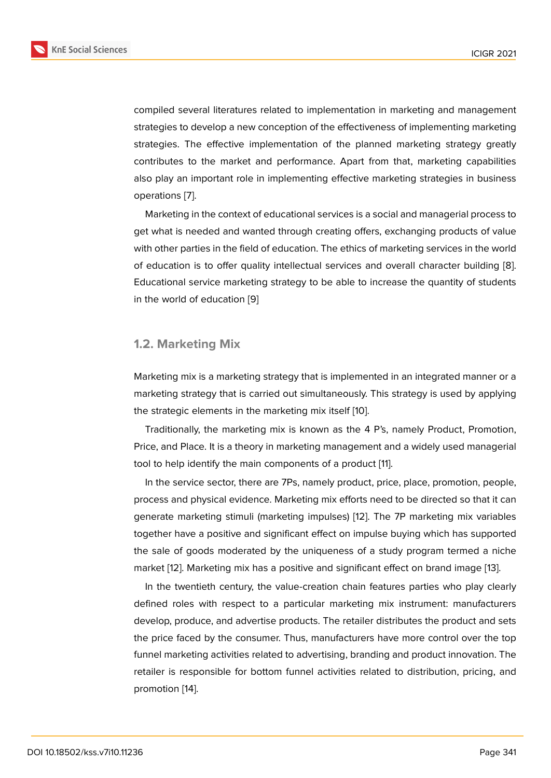compiled several literatures related to implementation in marketing and management strategies to develop a new conception of the effectiveness of implementing marketing strategies. The effective implementation of the planned marketing strategy greatly contributes to the market and performance. Apart from that, marketing capabilities also play an important role in implementing effective marketing strategies in business operations [7].

Marketing in the context of educational services is a social and managerial process to get what is needed and wanted through creating offers, exchanging products of value with other p[a](#page-9-4)rties in the field of education. The ethics of marketing services in the world of education is to offer quality intellectual services and overall character building [8]. Educational service marketing strategy to be able to increase the quantity of students in the world of education [9]

### **1.2. Marketing Mix**

Marketing mix is a marketing strategy that is implemented in an integrated manner or a marketing strategy that is carried out simultaneously. This strategy is used by applying the strategic elements in the marketing mix itself [10].

Traditionally, the marketing mix is known as the 4 P's, namely Product, Promotion, Price, and Place. It is a theory in marketing management and a widely used managerial tool to help identify the main components of a pr[odu](#page-9-5)ct [11].

In the service sector, there are 7Ps, namely product, price, place, promotion, people, process and physical evidence. Marketing mix efforts need to be directed so that it can generate marketing stimuli (marketing impulses) [12]. T[he](#page-9-6) 7P marketing mix variables together have a positive and significant effect on impulse buying which has supported the sale of goods moderated by the uniqueness of a study program termed a niche market [12]. Marketing mix has a positive and sign[ific](#page-9-7)ant effect on brand image [13].

In the twentieth century, the value-creation chain features parties who play clearly defined roles with respect to a particular marketing mix instrument: manufacturers develop[, p](#page-9-7)roduce, and advertise products. The retailer distributes the product a[nd](#page-10-0) sets the price faced by the consumer. Thus, manufacturers have more control over the top funnel marketing activities related to advertising, branding and product innovation. The retailer is responsible for bottom funnel activities related to distribution, pricing, and promotion [14].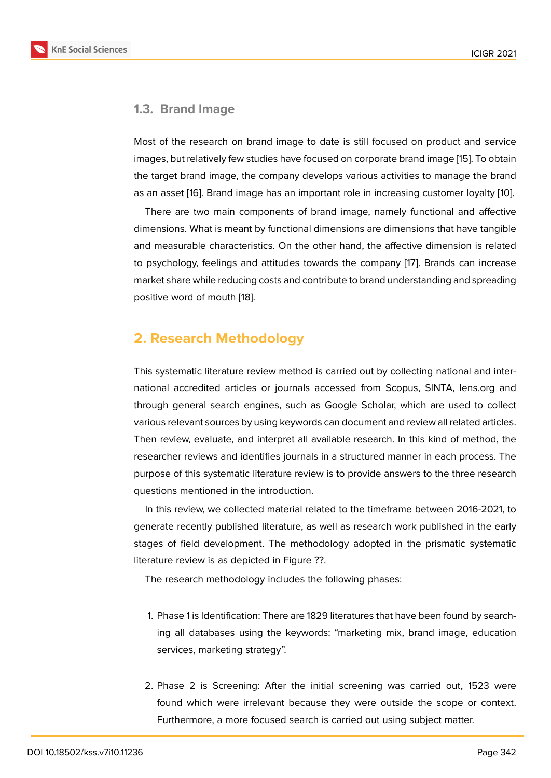## **1.3. Brand Image**

Most of the research on brand image to date is still focused on product and service images, but relatively few studies have focused on corporate brand image [15]. To obtain the target brand image, the company develops various activities to manage the brand as an asset [16]. Brand image has an important role in increasing customer loyalty [10].

There are two main components of brand image, namely functional [an](#page-10-1)d affective dimensions. What is meant by functional dimensions are dimensions that have tangible and measur[abl](#page-10-2)e characteristics. On the other hand, the affective dimension is rel[ate](#page-9-5)d to psychology, feelings and attitudes towards the company [17]. Brands can increase market share while reducing costs and contribute to brand understanding and spreading positive word of mouth [18].

## **2. Research Me[tho](#page-10-3)dology**

This systematic literature review method is carried out by collecting national and international accredited articles or journals accessed from Scopus, SINTA, lens.org and through general search engines, such as Google Scholar, which are used to collect various relevant sources by using keywords can document and review all related articles. Then review, evaluate, and interpret all available research. In this kind of method, the researcher reviews and identifies journals in a structured manner in each process. The purpose of this systematic literature review is to provide answers to the three research questions mentioned in the introduction.

In this review, we collected material related to the timeframe between 2016-2021, to generate recently published literature, as well as research work published in the early stages of field development. The methodology adopted in the prismatic systematic literature review is as depicted in Figure ??.

The research methodology includes the following phases:

- 1. Phase 1 is Identification: There are 1829 literatures that have been found by searching all databases using the keywords: "marketing mix, brand image, education services, marketing strategy".
- 2. Phase 2 is Screening: After the initial screening was carried out, 1523 were found which were irrelevant because they were outside the scope or context. Furthermore, a more focused search is carried out using subject matter.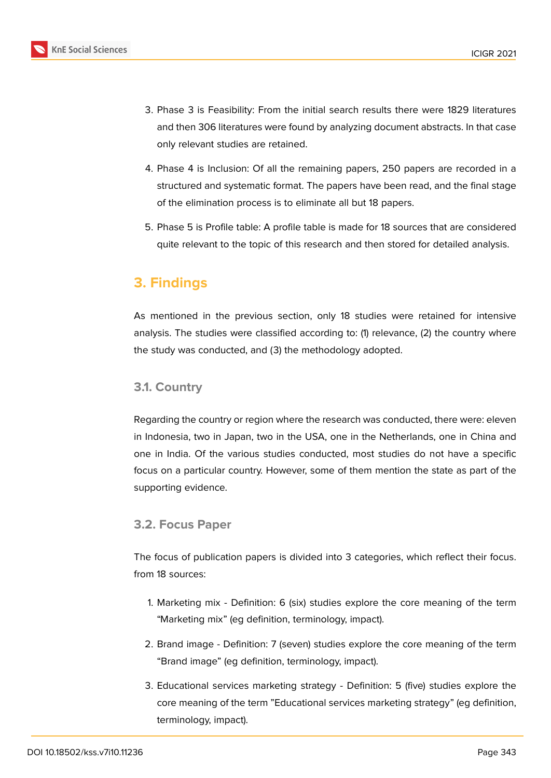

- 3. Phase 3 is Feasibility: From the initial search results there were 1829 literatures and then 306 literatures were found by analyzing document abstracts. In that case only relevant studies are retained.
- 4. Phase 4 is Inclusion: Of all the remaining papers, 250 papers are recorded in a structured and systematic format. The papers have been read, and the final stage of the elimination process is to eliminate all but 18 papers.
- 5. Phase 5 is Profile table: A profile table is made for 18 sources that are considered quite relevant to the topic of this research and then stored for detailed analysis.

# **3. Findings**

As mentioned in the previous section, only 18 studies were retained for intensive analysis. The studies were classified according to: (1) relevance, (2) the country where the study was conducted, and (3) the methodology adopted.

## **3.1. Country**

Regarding the country or region where the research was conducted, there were: eleven in Indonesia, two in Japan, two in the USA, one in the Netherlands, one in China and one in India. Of the various studies conducted, most studies do not have a specific focus on a particular country. However, some of them mention the state as part of the supporting evidence.

## **3.2. Focus Paper**

The focus of publication papers is divided into 3 categories, which reflect their focus. from 18 sources:

- 1. Marketing mix Definition: 6 (six) studies explore the core meaning of the term "Marketing mix" (eg definition, terminology, impact).
- 2. Brand image Definition: 7 (seven) studies explore the core meaning of the term "Brand image" (eg definition, terminology, impact).
- 3. Educational services marketing strategy Definition: 5 (five) studies explore the core meaning of the term "Educational services marketing strategy" (eg definition, terminology, impact).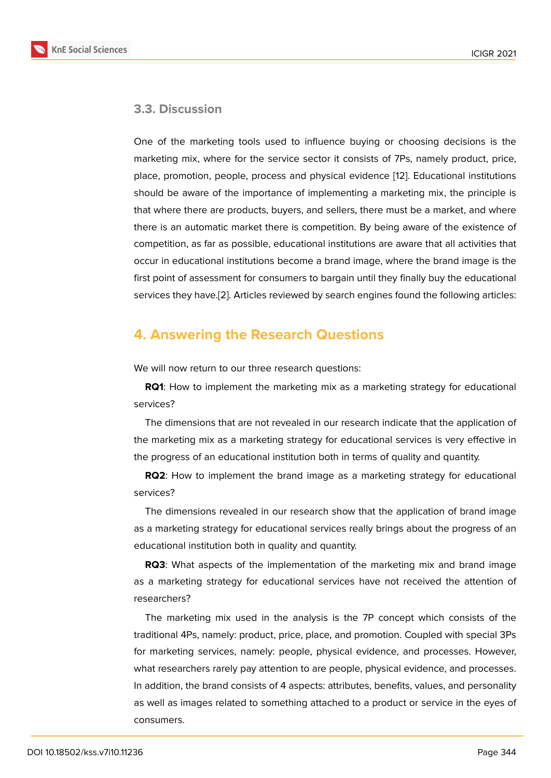### **3.3. Discussion**

One of the marketing tools used to influence buying or choosing decisions is the marketing mix, where for the service sector it consists of 7Ps, namely product, price, place, promotion, people, process and physical evidence [12]. Educational institutions should be aware of the importance of implementing a marketing mix, the principle is that where there are products, buyers, and sellers, there must be a market, and where there is an automatic market there is competition. By bein[g a](#page-9-7)ware of the existence of competition, as far as possible, educational institutions are aware that all activities that occur in educational institutions become a brand image, where the brand image is the first point of assessment for consumers to bargain until they finally buy the educational services they have.[2]. Articles reviewed by search engines found the following articles:

## **4. Answerin[g t](#page-9-0)he Research Questions**

We will now return to our three research questions:

**RQ1**: How to implement the marketing mix as a marketing strategy for educational services?

The dimensions that are not revealed in our research indicate that the application of the marketing mix as a marketing strategy for educational services is very effective in the progress of an educational institution both in terms of quality and quantity.

**RQ2**: How to implement the brand image as a marketing strategy for educational services?

The dimensions revealed in our research show that the application of brand image as a marketing strategy for educational services really brings about the progress of an educational institution both in quality and quantity.

**RQ3**: What aspects of the implementation of the marketing mix and brand image as a marketing strategy for educational services have not received the attention of researchers?

The marketing mix used in the analysis is the 7P concept which consists of the traditional 4Ps, namely: product, price, place, and promotion. Coupled with special 3Ps for marketing services, namely: people, physical evidence, and processes. However, what researchers rarely pay attention to are people, physical evidence, and processes. In addition, the brand consists of 4 aspects: attributes, benefits, values, and personality as well as images related to something attached to a product or service in the eyes of consumers.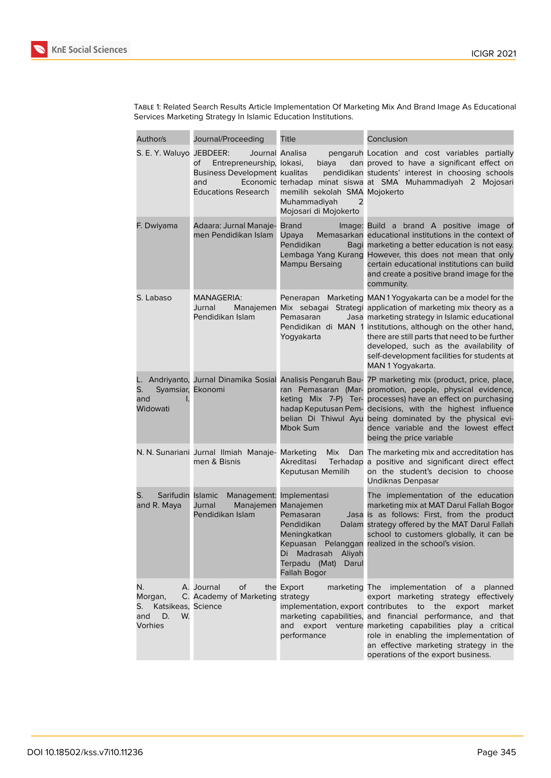

| Author/s                                                                  | Journal/Proceeding                                                                                                                                                                                                  | Title                                                                                                                                                                | Conclusion                                                                                                                                                                                                                                                                                                                                                                                         |  |
|---------------------------------------------------------------------------|---------------------------------------------------------------------------------------------------------------------------------------------------------------------------------------------------------------------|----------------------------------------------------------------------------------------------------------------------------------------------------------------------|----------------------------------------------------------------------------------------------------------------------------------------------------------------------------------------------------------------------------------------------------------------------------------------------------------------------------------------------------------------------------------------------------|--|
| S. E. Y. Waluyo JEBDEER:                                                  | Journal Analisa<br>Entrepreneurship, lokasi,<br>of<br><b>Business Development kualitas</b><br>and<br><b>Educations Research</b>                                                                                     | biaya<br>memilih sekolah SMA Mojokerto<br>Muhammadiyah<br>2<br>Mojosari di Mojokerto                                                                                 | pengaruh Location and cost variables partially<br>dan proved to have a significant effect on<br>pendidikan students' interest in choosing schools<br>Economic terhadap minat siswa at SMA Muhammadiyah 2 Mojosari                                                                                                                                                                                  |  |
| F. Dwiyama                                                                | Adaara: Jurnal Manaje-<br>men Pendidikan Islam                                                                                                                                                                      | <b>Brand</b><br>Upaya<br>Pendidikan<br>Mampu Bersaing                                                                                                                | Image: Build a brand A positive image of<br>Memasarkan educational institutions in the context of<br>Bagi marketing a better education is not easy.<br>Lembaga Yang Kurang However, this does not mean that only<br>certain educational institutions can build<br>and create a positive brand image for the<br>community.                                                                          |  |
| S. Labaso                                                                 | <b>MANAGERIA:</b><br>Jurnal<br>Manajemen<br>Pendidikan Islam                                                                                                                                                        | Penerapan<br>Pemasaran<br>Yogyakarta                                                                                                                                 | Marketing MAN1Yogyakarta can be a model for the<br>Mix sebagai Strategi application of marketing mix theory as a<br>Jasa marketing strategy in Islamic educational<br>Pendidikan di MAN 1 institutions, although on the other hand,<br>there are still parts that need to be further<br>developed, such as the availability of<br>self-development facilities for students at<br>MAN 1 Yogyakarta. |  |
| L.<br>Syamsiar, Ekonomi<br>S.<br>and<br>Widowati                          |                                                                                                                                                                                                                     | Andriyanto, Jurnal Dinamika Sosial Analisis Pengaruh Bau-<br>ran Pemasaran (Mar-<br>keting Mix 7-P) Ter-<br>hadap Keputusan Pem-<br>belian Di Thiwul Ayu<br>Mbok Sum | 7P marketing mix (product, price, place,<br>promotion, people, physical evidence,<br>processes) have an effect on purchasing<br>decisions, with the highest influence<br>being dominated by the physical evi-<br>dence variable and the lowest effect<br>being the price variable                                                                                                                  |  |
|                                                                           | N. N. Sunariani Jurnal Ilmiah Manaje- Marketing<br>men & Bisnis                                                                                                                                                     | Mix<br>Akreditasi<br>Keputusan Memilih                                                                                                                               | Dan The marketing mix and accreditation has<br>Terhadap a positive and significant direct effect<br>on the student's decision to choose<br>Undiknas Denpasar                                                                                                                                                                                                                                       |  |
| S.<br>and R. Maya                                                         | Sarifudin Islamic<br>Management:<br>Implementasi<br>Jurnal<br>Manajemen<br>Manajemen<br>Pendidikan Islam<br>Pemasaran<br>Pendidikan<br>Meningkatkan<br>Di Madrasah Aliyah<br>Terpadu (Mat)<br>Darul<br>Fallah Bogor |                                                                                                                                                                      | The implementation of the education<br>marketing mix at MAT Darul Fallah Bogor<br>Jasa is as follows: First, from the product<br>Dalam strategy offered by the MAT Darul Fallah<br>school to customers globally, it can be<br>Kepuasan Pelanggan realized in the school's vision.                                                                                                                  |  |
| N.<br>Morgan,<br>Katsikeas, Science<br>S. I<br>D.<br>W.<br>and<br>Vorhies | A. Journal<br>Οf<br>C. Academy of Marketing strategy                                                                                                                                                                | the Export<br>and<br>performance                                                                                                                                     | marketing The implementation of a planned<br>export marketing strategy effectively<br>implementation, export contributes to the export<br>market<br>marketing capabilities, and financial performance, and that<br>export venture marketing capabilities play a critical<br>role in enabling the implementation of<br>an effective marketing strategy in the<br>operations of the export business. |  |

Table 1: Related Search Results Article Implementation Of Marketing Mix And Brand Image As Educational Services Marketing Strategy In Islamic Education Institutions.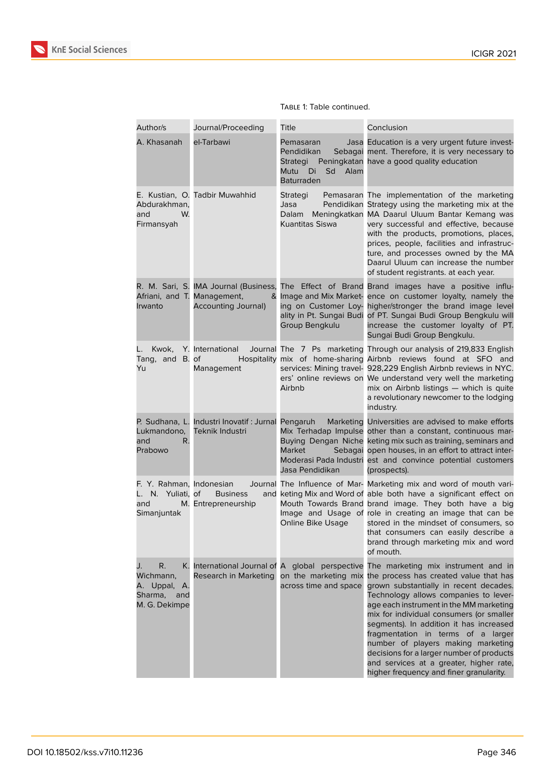

| Author/s                                                                    | Journal/Proceeding                                                        | Title                                                                                | Conclusion                                                                                                                                                                                                                                                                                                                                                                                                                                                                                                        |
|-----------------------------------------------------------------------------|---------------------------------------------------------------------------|--------------------------------------------------------------------------------------|-------------------------------------------------------------------------------------------------------------------------------------------------------------------------------------------------------------------------------------------------------------------------------------------------------------------------------------------------------------------------------------------------------------------------------------------------------------------------------------------------------------------|
| A. Khasanah                                                                 | el-Tarbawi                                                                | Pemasaran<br>Pendidikan<br>Strategi<br>Mutu<br>Sd<br>Alam<br>Di<br><b>Baturraden</b> | Jasa Education is a very urgent future invest-<br>Sebagai ment. Therefore, it is very necessary to<br>Peningkatan have a good quality education                                                                                                                                                                                                                                                                                                                                                                   |
| Abdurakhman,<br>W.<br>and<br>Firmansyah                                     | E. Kustian, O. Tadbir Muwahhid                                            | Strategi<br>Jasa<br>Dalam<br>Kuantitas Siswa                                         | Pemasaran The implementation of the marketing<br>Pendidikan Strategy using the marketing mix at the<br>Meningkatkan MA Daarul Uluum Bantar Kemang was<br>very successful and effective, because<br>with the products, promotions, places,<br>prices, people, facilities and infrastruc-<br>ture, and processes owned by the MA<br>Daarul Uluum can increase the number<br>of student registrants. at each year.                                                                                                   |
| Afriani, and T. Management,<br>Irwanto                                      | Accounting Journal)                                                       | & Image and Mix Market-<br>ing on Customer Loy-<br>Group Bengkulu                    | R. M. Sari, S. IMA Journal (Business, The Effect of Brand Brand images have a positive influ-<br>ence on customer loyalty, namely the<br>higher/stronger the brand image level<br>ality in Pt. Sungai Budi of PT. Sungai Budi Group Bengkulu will<br>increase the customer loyalty of PT.<br>Sungai Budi Group Bengkulu.                                                                                                                                                                                          |
| Kwok,<br>Tang, and B. of<br>Yu                                              | Y. International<br>Management                                            | Airbnb                                                                               | Journal The 7 Ps marketing Through our analysis of 219,833 English<br>Hospitality mix of home-sharing Airbnb reviews found at SFO and<br>services: Mining travel- 928,229 English Airbnb reviews in NYC.<br>ers' online reviews on We understand very well the marketing<br>mix on Airbnb listings - which is quite<br>a revolutionary newcomer to the lodging<br>industry.                                                                                                                                       |
| Lukmandono,<br>and<br>R.<br>Prabowo                                         | P. Sudhana, L. Industri Inovatif: Jurnal Pengaruh<br>Teknik Industri      | Marketing<br><b>Market</b><br>Jasa Pendidikan                                        | Universities are advised to make efforts<br>Mix Terhadap Impulse other than a constant, continuous mar-<br>Buying Dengan Niche keting mix such as training, seminars and<br>Sebagai open houses, in an effort to attract inter-<br>Moderasi Pada Industri est and convince potential customers<br>(prospects).                                                                                                                                                                                                    |
| F. Y. Rahman, Indonesian<br>L. N. Yuliati, of<br>and<br>Simanjuntak         | <b>Business</b><br>M. Entrepreneurship                                    | Online Bike Usage                                                                    | Journal The Influence of Mar- Marketing mix and word of mouth vari-<br>and keting Mix and Word of able both have a significant effect on<br>Mouth Towards Brand brand image. They both have a big<br>Image and Usage of role in creating an image that can be<br>stored in the mindset of consumers, so<br>that consumers can easily describe a<br>brand through marketing mix and word<br>of mouth.                                                                                                              |
| R.<br>J.<br>Wichmann,<br>A. Uppal,<br>Α.<br>Sharma,<br>and<br>M. G. Dekimpe | K. International Journal of A global perspective<br>Research in Marketing | on the marketing mix<br>across time and space                                        | The marketing mix instrument and in<br>the process has created value that has<br>grown substantially in recent decades.<br>Technology allows companies to lever-<br>age each instrument in the MM marketing<br>mix for individual consumers (or smaller<br>segments). In addition it has increased<br>fragmentation in terms of a larger<br>number of players making marketing<br>decisions for a larger number of products<br>and services at a greater, higher rate,<br>higher frequency and finer granularity. |

#### Table 1: Table continued.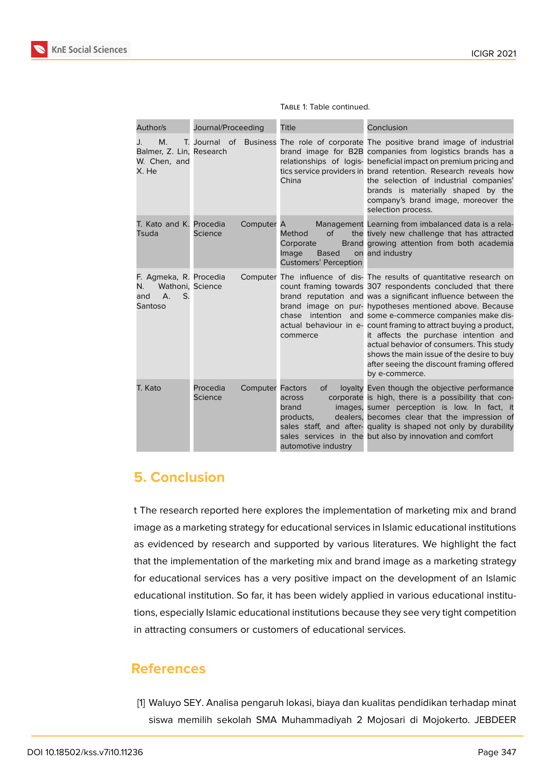

| Author/s                                                                                   | Journal/Proceeding  |                         | Title                                                                              | Conclusion                                                                                                                                                                                                                                                                                                                                                                                                                                                                                                                                                                       |
|--------------------------------------------------------------------------------------------|---------------------|-------------------------|------------------------------------------------------------------------------------|----------------------------------------------------------------------------------------------------------------------------------------------------------------------------------------------------------------------------------------------------------------------------------------------------------------------------------------------------------------------------------------------------------------------------------------------------------------------------------------------------------------------------------------------------------------------------------|
| M.<br>J.<br>Balmer, Z. Lin, Research<br>W. Chen, and<br>X. He                              |                     |                         | China                                                                              | T. Journal of Business The role of corporate The positive brand image of industrial<br>brand image for B2B companies from logistics brands has a<br>relationships of logis- beneficial impact on premium pricing and<br>tics service providers in brand retention. Research reveals how<br>the selection of industrial companies'<br>brands is materially shaped by the<br>company's brand image, moreover the<br>selection process.                                                                                                                                             |
| T. Kato and K. Procedia<br>Tsuda                                                           | Science             | Computer A              | Method<br>of<br>Corporate<br>Image<br><b>Based</b><br><b>Customers' Perception</b> | Management Learning from imbalanced data is a rela-<br>the tively new challenge that has attracted<br>Brand growing attention from both academia<br>on and industry                                                                                                                                                                                                                                                                                                                                                                                                              |
| F. Agmeka, R. Procedia<br>N.<br>Wathoni, Science<br>$\mathsf{A}$ .<br>S.<br>and<br>Santoso |                     |                         | intention<br>chase<br>commerce                                                     | Computer The influence of dis- The results of quantitative research on<br>count framing towards 307 respondents concluded that there<br>brand reputation and was a significant influence between the<br>brand image on pur- hypotheses mentioned above. Because<br>and some e-commerce companies make dis-<br>actual behaviour in e- count framing to attract buying a product,<br>it affects the purchase intention and<br>actual behavior of consumers. This study<br>shows the main issue of the desire to buy<br>after seeing the discount framing offered<br>by e-commerce. |
| T. Kato                                                                                    | Procedia<br>Science | <b>Computer Factors</b> | 0f<br>across<br>brand<br>products.<br>automotive industry                          | loyalty Even though the objective performance<br>corporate is high, there is a possibility that con-<br>images, sumer perception is low. In fact, it<br>dealers, becomes clear that the impression of<br>sales staff, and after- quality is shaped not only by durability<br>sales services in the but also by innovation and comfort                                                                                                                                                                                                                                            |

Table 1: Table continued.

# **5. Conclusion**

t The research reported here explores the implementation of marketing mix and brand image as a marketing strategy for educational services in Islamic educational institutions as evidenced by research and supported by various literatures. We highlight the fact that the implementation of the marketing mix and brand image as a marketing strategy for educational services has a very positive impact on the development of an Islamic educational institution. So far, it has been widely applied in various educational institutions, especially Islamic educational institutions because they see very tight competition in attracting consumers or customers of educational services.

# **References**

<span id="page-8-0"></span>[1] Waluyo SEY. Analisa pengaruh lokasi, biaya dan kualitas pendidikan terhadap minat siswa memilih sekolah SMA Muhammadiyah 2 Mojosari di Mojokerto. JEBDEER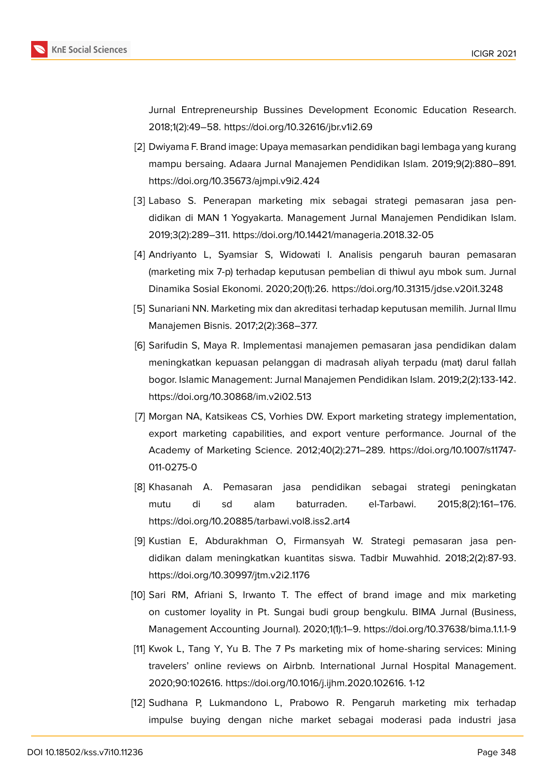

Jurnal Entrepreneurship Bussines Development Economic Education Research. 2018;1(2):49–58. https://doi.org/10.32616/jbr.v1i2.69

- <span id="page-9-0"></span>[2] Dwiyama F. Brand image: Upaya memasarkan pendidikan bagi lembaga yang kurang mampu bersaing. Adaara Jurnal Manajemen Pendidikan Islam. 2019;9(2):880–891. https://doi.org/10.35673/ajmpi.v9i2.424
- <span id="page-9-1"></span>[3] Labaso S. Penerapan marketing mix sebagai strategi pemasaran jasa pendidikan di MAN 1 Yogyakarta. Management Jurnal Manajemen Pendidikan Islam. 2019;3(2):289–311. https://doi.org/10.14421/manageria.2018.32-05
- <span id="page-9-2"></span>[4] Andriyanto L, Syamsiar S, Widowati I. Analisis pengaruh bauran pemasaran (marketing mix 7-p) terhadap keputusan pembelian di thiwul ayu mbok sum. Jurnal Dinamika Sosial Ekonomi. 2020;20(1):26. https://doi.org/10.31315/jdse.v20i1.3248
- <span id="page-9-3"></span>[5] Sunariani NN. Marketing mix dan akreditasi terhadap keputusan memilih. Jurnal Ilmu Manajemen Bisnis. 2017;2(2):368–377.
- [6] Sarifudin S, Maya R. Implementasi manajemen pemasaran jasa pendidikan dalam meningkatkan kepuasan pelanggan di madrasah aliyah terpadu (mat) darul fallah bogor. Islamic Management: Jurnal Manajemen Pendidikan Islam. 2019;2(2):133-142. https://doi.org/10.30868/im.v2i02.513
- <span id="page-9-4"></span>[7] Morgan NA, Katsikeas CS, Vorhies DW. Export marketing strategy implementation, export marketing capabilities, and export venture performance. Journal of the Academy of Marketing Science. 2012;40(2):271–289. https://doi.org/10.1007/s11747- 011-0275-0
- [8] Khasanah A. Pemasaran jasa pendidikan sebagai strategi peningkatan mutu di sd alam baturraden. el-Tarbawi. 2015;8(2):161–176. https://doi.org/10.20885/tarbawi.vol8.iss2.art4
- [9] Kustian E, Abdurakhman O, Firmansyah W. Strategi pemasaran jasa pendidikan dalam meningkatkan kuantitas siswa. Tadbir Muwahhid. 2018;2(2):87-93. https://doi.org/10.30997/jtm.v2i2.1176
- <span id="page-9-5"></span>[10] Sari RM, Afriani S, Irwanto T. The effect of brand image and mix marketing on customer loyality in Pt. Sungai budi group bengkulu. BIMA Jurnal (Business, Management Accounting Journal). 2020;1(1):1–9. https://doi.org/10.37638/bima.1.1.1-9
- <span id="page-9-6"></span>[11] Kwok L, Tang Y, Yu B. The 7 Ps marketing mix of home-sharing services: Mining travelers' online reviews on Airbnb. International Jurnal Hospital Management. 2020;90:102616. https://doi.org/10.1016/j.ijhm.2020.102616. 1-12
- <span id="page-9-7"></span>[12] Sudhana P, Lukmandono L, Prabowo R. Pengaruh marketing mix terhadap impulse buying dengan niche market sebagai moderasi pada industri jasa